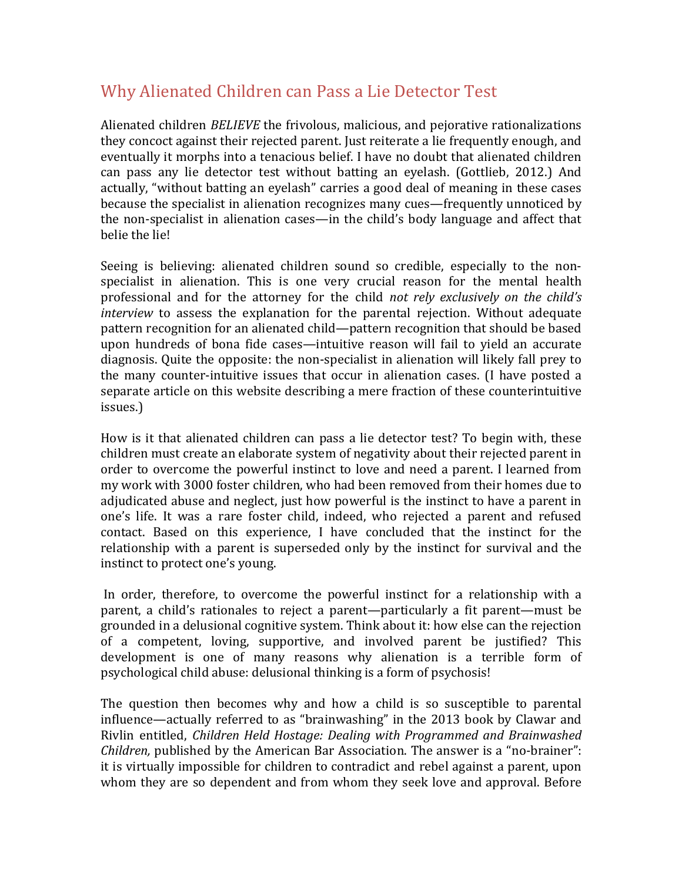## Why Alienated Children can Pass a Lie Detector Test

Alienated children *BELIEVE* the frivolous, malicious, and pejorative rationalizations they concoct against their rejected parent. Just reiterate a lie frequently enough, and eventually it morphs into a tenacious belief. I have no doubt that alienated children can pass any lie detector test without batting an eyelash. (Gottlieb, 2012.) And actually, "without batting an eyelash" carries a good deal of meaning in these cases because the specialist in alienation recognizes many cues—frequently unnoticed by the non-specialist in alienation cases—in the child's body language and affect that belie the lie!

Seeing is believing: alienated children sound so credible, especially to the nonspecialist in alienation. This is one very crucial reason for the mental health professional and for the attorney for the child *not rely exclusively* on the child's *interview* to assess the explanation for the parental rejection. Without adequate pattern recognition for an alienated child—pattern recognition that should be based upon hundreds of bona fide cases—intuitive reason will fail to yield an accurate diagnosis. Quite the opposite: the non-specialist in alienation will likely fall prey to the many counter-intuitive issues that occur in alienation cases. (I have posted a separate article on this website describing a mere fraction of these counterintuitive issues.) 

How is it that alienated children can pass a lie detector test? To begin with, these children must create an elaborate system of negativity about their rejected parent in order to overcome the powerful instinct to love and need a parent. I learned from my work with 3000 foster children, who had been removed from their homes due to adjudicated abuse and neglect, just how powerful is the instinct to have a parent in one's life. It was a rare foster child, indeed, who rejected a parent and refused contact. Based on this experience, I have concluded that the instinct for the relationship with a parent is superseded only by the instinct for survival and the instinct to protect one's young.

In order, therefore, to overcome the powerful instinct for a relationship with a parent, a child's rationales to reject a parent—particularly a fit parent—must be grounded in a delusional cognitive system. Think about it: how else can the rejection of a competent, loving, supportive, and involved parent be justified? This development is one of many reasons why alienation is a terrible form of psychological child abuse: delusional thinking is a form of psychosis!

The question then becomes why and how a child is so susceptible to parental influence—actually referred to as "brainwashing" in the 2013 book by Clawar and Rivlin entitled, *Children Held Hostage: Dealing with Programmed and Brainwashed Children*, published by the American Bar Association. The answer is a "no-brainer": it is virtually impossible for children to contradict and rebel against a parent, upon whom they are so dependent and from whom they seek love and approval. Before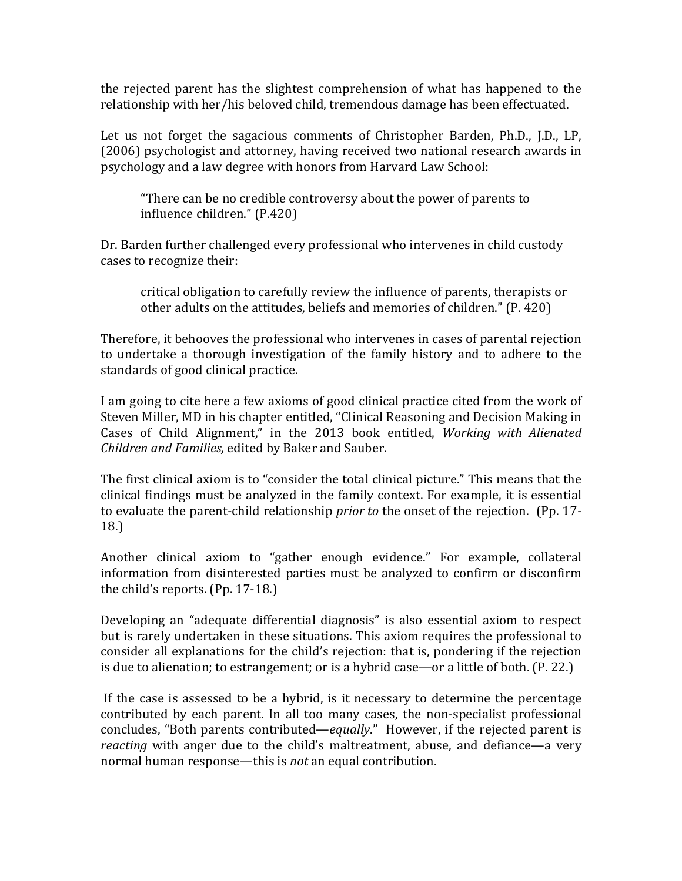the rejected parent has the slightest comprehension of what has happened to the relationship with her/his beloved child, tremendous damage has been effectuated.

Let us not forget the sagacious comments of Christopher Barden, Ph.D., J.D., LP, (2006) psychologist and attorney, having received two national research awards in psychology and a law degree with honors from Harvard Law School:

"There can be no credible controversy about the power of parents to influence children." (P.420)

Dr. Barden further challenged every professional who intervenes in child custody cases to recognize their:

critical obligation to carefully review the influence of parents, therapists or other adults on the attitudes, beliefs and memories of children." (P. 420)

Therefore, it behooves the professional who intervenes in cases of parental rejection to undertake a thorough investigation of the family history and to adhere to the standards of good clinical practice.

I am going to cite here a few axioms of good clinical practice cited from the work of Steven Miller, MD in his chapter entitled, "Clinical Reasoning and Decision Making in Cases of Child Alignment," in the 2013 book entitled, *Working with Alienated Children and Families, edited by Baker and Sauber.* 

The first clinical axiom is to "consider the total clinical picture." This means that the clinical findings must be analyzed in the family context. For example, it is essential to evaluate the parent-child relationship *prior* to the onset of the rejection. (Pp. 17-18.)

Another clinical axiom to "gather enough evidence." For example, collateral information from disinterested parties must be analyzed to confirm or disconfirm the child's reports.  $($ Pp.  $17-18.)$ 

Developing an "adequate differential diagnosis" is also essential axiom to respect but is rarely undertaken in these situations. This axiom requires the professional to consider all explanations for the child's rejection: that is, pondering if the rejection is due to alienation; to estrangement; or is a hybrid case—or a little of both. (P. 22.)

If the case is assessed to be a hybrid, is it necessary to determine the percentage contributed by each parent. In all too many cases, the non-specialist professional concludes, "Both parents contributed—*equally*." However, if the rejected parent is *reacting* with anger due to the child's maltreatment, abuse, and defiance—a very normal human response—this is *not* an equal contribution.